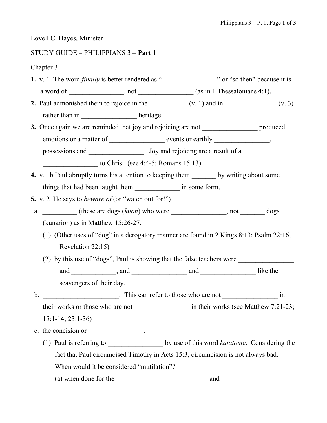Lovell C. Hayes, Minister

## STUDY GUIDE – PHILIPPIANS 3 – Part 1

Chapter 3

- 1. v. 1 The word finally is better rendered as "\_\_\_\_\_\_\_\_\_\_\_\_\_\_\_\_" or "so then" because it is a word of \_\_\_\_\_\_\_\_\_\_\_\_\_, not \_\_\_\_\_\_\_\_\_\_\_(as in 1 Thessalonians 4:1).
- 2. Paul admonished them to rejoice in the  $($ v. 1) and in  $($ v. 3) rather than in heritage.
- 3. Once again we are reminded that joy and rejoicing are not produced emotions or a matter of events or earthly events or earthly the second sevents or earthly the second sevents or earthly sevents or earthly sevents or earthly sevents or earthly sevents or earthly sevents or earthly sevents possessions and  $\qquad \qquad$  . Joy and rejoicing are a result of a

to Christ. (see  $4:4-5$ ; Romans 15:13)

- 4. v. 1b Paul abruptly turns his attention to keeping them by writing about some things that had been taught them \_\_\_\_\_\_\_\_\_\_\_\_\_\_\_\_\_ in some form.
- **5.** v. 2 He says to *beware of* (or "watch out for!")
- a.  $_{\text{(these are dogs (kuon) who were}}$ , not dogs (kunarion) as in Matthew 15:26-27.
	- (1) (Other uses of "dog" in a derogatory manner are found in 2 Kings 8:13; Psalm 22:16; Revelation 22:15)
	- (2) by this use of "dogs", Paul is showing that the false teachers were \_\_\_\_\_\_\_\_\_\_\_\_\_\_\_\_

 and \_\_\_\_\_\_\_\_\_\_\_\_\_, and \_\_\_\_\_\_\_\_\_\_\_\_\_\_\_\_ and \_\_\_\_\_\_\_\_\_\_\_\_\_\_\_\_ like the scavengers of their day.

b. \_\_\_\_\_\_\_\_\_\_\_\_\_\_\_\_\_\_\_. This can refer to those who are not \_\_\_\_\_\_\_\_\_\_\_\_\_\_\_\_\_\_\_\_ in their works or those who are not \_\_\_\_\_\_\_\_\_\_\_\_\_\_\_\_\_\_\_\_\_ in their works (see Matthew 7:21-23; 15:1-14; 23:1-36)

- c. the concision or  $\qquad \qquad$ 
	- (1) Paul is referring to  $\qquad \qquad$  by use of this word *katatome*. Considering the fact that Paul circumcised Timothy in Acts 15:3, circumcision is not always bad. When would it be considered "mutilation"? (a) when done for the \_\_\_\_\_\_\_\_\_\_\_\_\_\_\_\_\_\_\_\_\_\_\_\_\_\_\_and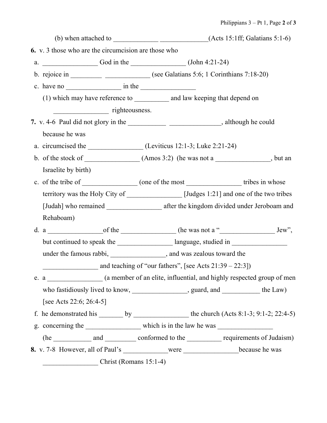|                                                                                                           |                                                                                                  | (b) when attached to $\frac{1}{\sqrt{1-\frac{1}{1-\frac{1}{1-\frac{1}{1-\frac{1}{1-\frac{1}{1-\frac{1}{1-\frac{1}{1-\frac{1}{1-\frac{1}{1-\frac{1}{1-\frac{1}{1-\frac{1}{1-\frac{1}{1-\frac{1}{1-\frac{1}{1-\frac{1}{1-\frac{1}{1-\frac{1}{1-\frac{1}{1-\frac{1}{1-\frac{1}{1-\frac{1}{1-\frac{1}{1-\frac{1}{1-\frac{1}{1-\frac{1}{1-\frac{1}{1-\frac{1}{1-\frac{1}{1-\frac{1}{1-\frac{1}{1-\frac{1$ |  |
|-----------------------------------------------------------------------------------------------------------|--------------------------------------------------------------------------------------------------|------------------------------------------------------------------------------------------------------------------------------------------------------------------------------------------------------------------------------------------------------------------------------------------------------------------------------------------------------------------------------------------------------|--|
| <b>6.</b> v. 3 those who are the circumcision are those who                                               |                                                                                                  |                                                                                                                                                                                                                                                                                                                                                                                                      |  |
| a. $\frac{\text{God in the}}{\text{God in the}}$ (John 4:21-24)                                           |                                                                                                  |                                                                                                                                                                                                                                                                                                                                                                                                      |  |
|                                                                                                           | b. rejoice in __________________________(see Galatians 5:6; 1 Corinthians 7:18-20)               |                                                                                                                                                                                                                                                                                                                                                                                                      |  |
| c. have no $\frac{1}{\sqrt{1-\frac{1}{2}}}\sin \theta$ in the $\frac{1}{\sqrt{1-\frac{1}{2}}}\cos \theta$ |                                                                                                  |                                                                                                                                                                                                                                                                                                                                                                                                      |  |
|                                                                                                           | (1) which may have reference to ____________ and law keeping that depend on                      |                                                                                                                                                                                                                                                                                                                                                                                                      |  |
| righteousness.                                                                                            |                                                                                                  |                                                                                                                                                                                                                                                                                                                                                                                                      |  |
|                                                                                                           |                                                                                                  | 7. v. 4-6 Paul did not glory in the __________________________________, although he could                                                                                                                                                                                                                                                                                                            |  |
| because he was                                                                                            |                                                                                                  |                                                                                                                                                                                                                                                                                                                                                                                                      |  |
|                                                                                                           | a. circumcised the _____________________(Leviticus 12:1-3; Luke 2:21-24)                         |                                                                                                                                                                                                                                                                                                                                                                                                      |  |
|                                                                                                           | b. of the stock of $\qquad (Amos 3:2)$ (he was not a $\qquad \qquad$ , but an                    |                                                                                                                                                                                                                                                                                                                                                                                                      |  |
| Israelite by birth)                                                                                       |                                                                                                  |                                                                                                                                                                                                                                                                                                                                                                                                      |  |
|                                                                                                           |                                                                                                  |                                                                                                                                                                                                                                                                                                                                                                                                      |  |
|                                                                                                           | territory was the Holy City of ______________ [Judges 1:21] and one of the two tribes            |                                                                                                                                                                                                                                                                                                                                                                                                      |  |
|                                                                                                           |                                                                                                  |                                                                                                                                                                                                                                                                                                                                                                                                      |  |
| Rehaboam)                                                                                                 |                                                                                                  |                                                                                                                                                                                                                                                                                                                                                                                                      |  |
|                                                                                                           |                                                                                                  |                                                                                                                                                                                                                                                                                                                                                                                                      |  |
|                                                                                                           | but continued to speak the ____________________ language, studied in ____________                |                                                                                                                                                                                                                                                                                                                                                                                                      |  |
|                                                                                                           | under the famous rabbi, __________________, and was zealous toward the                           |                                                                                                                                                                                                                                                                                                                                                                                                      |  |
|                                                                                                           | $\frac{1}{2}$ and teaching of "our fathers", [see Acts 21:39 – 22:3])                            |                                                                                                                                                                                                                                                                                                                                                                                                      |  |
|                                                                                                           |                                                                                                  |                                                                                                                                                                                                                                                                                                                                                                                                      |  |
|                                                                                                           | who fastidiously lived to know, ____________________, guard, and ____________ the Law)           |                                                                                                                                                                                                                                                                                                                                                                                                      |  |
| [see Acts 22:6; 26:4-5]                                                                                   |                                                                                                  |                                                                                                                                                                                                                                                                                                                                                                                                      |  |
|                                                                                                           | f. he demonstrated his _______ by _____________________ the church $(Acts 8:1-3; 9:1-2; 22:4-5)$ |                                                                                                                                                                                                                                                                                                                                                                                                      |  |
|                                                                                                           |                                                                                                  |                                                                                                                                                                                                                                                                                                                                                                                                      |  |
|                                                                                                           | (he _____________ and ___________ conformed to the ____________ requirements of Judaism)         |                                                                                                                                                                                                                                                                                                                                                                                                      |  |
|                                                                                                           |                                                                                                  |                                                                                                                                                                                                                                                                                                                                                                                                      |  |
| $Christ (Romans 15:1-4)$                                                                                  |                                                                                                  |                                                                                                                                                                                                                                                                                                                                                                                                      |  |